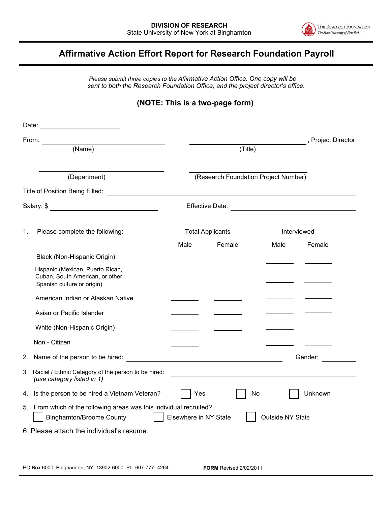

## **Affirmative Action Effort Report for Research Foundation Payroll**

*Please submit three copies to the Affirmative Action Office. One copy will be sent to both the Research Foundation Office, and the project director's office.* 

## **(NOTE: This is a two-page form)**

|              | From:                                                                                                                                               |                                      |        |             | , Project Director                                          |
|--------------|-----------------------------------------------------------------------------------------------------------------------------------------------------|--------------------------------------|--------|-------------|-------------------------------------------------------------|
| (Name)       |                                                                                                                                                     | (Title)                              |        |             |                                                             |
|              |                                                                                                                                                     |                                      |        |             |                                                             |
| (Department) |                                                                                                                                                     | (Research Foundation Project Number) |        |             |                                                             |
|              |                                                                                                                                                     |                                      |        |             |                                                             |
|              |                                                                                                                                                     |                                      |        |             |                                                             |
| 1.           | Please complete the following:                                                                                                                      | <b>Total Applicants</b>              |        | Interviewed |                                                             |
|              |                                                                                                                                                     | Male                                 | Female | Male        | Female                                                      |
|              | Black (Non-Hispanic Origin)                                                                                                                         |                                      |        |             |                                                             |
|              | Hispanic (Mexican, Puerto Rican,<br>Cuban, South American, or other<br>Spanish culture or origin)                                                   |                                      |        |             |                                                             |
|              | American Indian or Alaskan Native                                                                                                                   |                                      |        |             |                                                             |
|              | Asian or Pacific Islander                                                                                                                           |                                      |        |             |                                                             |
|              | White (Non-Hispanic Origin)                                                                                                                         |                                      |        |             |                                                             |
|              | Non - Citizen                                                                                                                                       | <u> Albanya (Albanya)</u>            |        |             |                                                             |
|              | 2. Name of the person to be hired:                                                                                                                  |                                      |        |             | Gender:                                                     |
|              | 3. Racial / Ethnic Category of the person to be hired:<br>(use category listed in 1)                                                                |                                      |        |             | <u> 1989 - Andrea Stadt Britain, amerikansk politiker (</u> |
|              | 4. Is the person to be hired a Vietnam Veteran?                                                                                                     | Yes                                  |        | No          | Unknown                                                     |
|              | 5. From which of the following areas was this individual recruited?<br><b>Binghamton/Broome County</b><br>Elsewhere in NY State<br>Outside NY State |                                      |        |             |                                                             |
|              | 6. Please attach the individual's resume.                                                                                                           |                                      |        |             |                                                             |
|              |                                                                                                                                                     |                                      |        |             |                                                             |
|              |                                                                                                                                                     |                                      |        |             |                                                             |